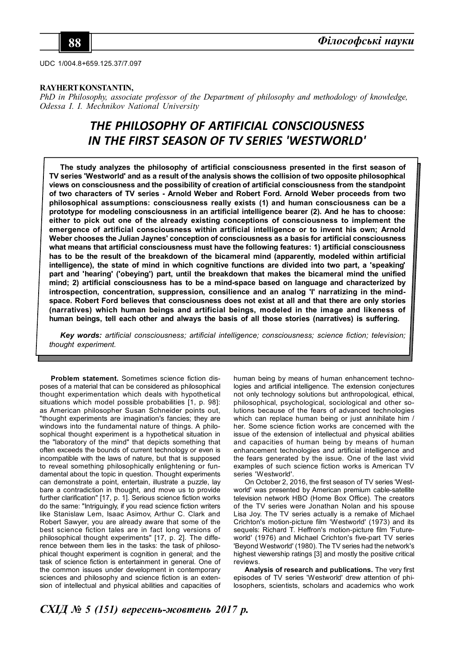UDC 1/004.8+659.125.37/7.097

### **RAYHERT KONSTANTIN,**

*PhD in Philosophy, associate professor of the Department of philosophy and methodology of knowledge, Odessa I. I. Mechnikov National University*

# *THE PHILOSOPHY OF ARTIFICIAL CONSCIOUSNESS IN THE FIRST SEASON OF TV SERIES 'WESTWORLD'*

**The study analyzes the philosophy of artificial consciousness presented in the first season of TV series 'Westworld' and as a result of the analysis shows the collision of two opposite philosophical views on consciousness and the possibility of creation of artificial consciousness from the standpoint of two characters of TV series - Arnold Weber and Robert Ford. Arnold Weber proceeds from two philosophical assumptions: consciousness really exists (1) and human consciousness can be a prototype for modeling consciousness in an artificial intelligence bearer (2). And he has to choose: either to pick out one of the already existing conceptions of consciousness to implement the emergence of artificial consciousness within artificial intelligence or to invent his own; Arnold Weber chooses the Julian Jaynes' conception of consciousness as a basis for artificial consciousness what means that artificial consciousness must have the following features: 1) artificial consciousness has to be the result of the breakdown of the bicameral mind (apparently, modeled within artificial intelligence), the state of mind in which cognitive functions are divided into two part, a 'speaking' part and 'hearing' ('obeying') part, until the breakdown that makes the bicameral mind the unified mind; 2) artificial consciousness has to be a mind-space based on language and characterized by** introspection, concentration, suppression, consilience and an analog "I' narratizing in the mind**space. Robert Ford believes that consciousness does not exist at all and that there are only stories (narratives) which human beings and artificial beings, modeled in the image and likeness of human beings, tell each other and always the basis of all those stories (narratives) is suffering.**

*Key words: artificial consciousness; artificial intelligence; consciousness; science fiction; television; thought experiment.*

**Problem statement.** Sometimes science fiction disposes of a material that can be considered as philosophical thought experimentation which deals with hypothetical situations which model possible probabilities [1, p. 98]: as American philosopher Susan Schneider points out, "thought experiments are imagination's fancies; they are windows into the fundamental nature of things. A philosophical thought experiment is a hypothetical situation in the "laboratory of the mind" that depicts something that often exceeds the bounds of current technology or even is incompatible with the laws of nature, but that is supposed to reveal something philosophically enlightening or fundamental about the topic in question. Thought experiments can demonstrate a point, entertain, illustrate a puzzle, lay bare a contradiction in thought, and move us to provide further clarification" [17, p. 1]. Serious science fiction works do the same: "Intriguingly, if you read science fiction writers like Stanislaw Lem, Isaac Asimov, Arthur C. Clark and Robert Sawyer, you are already aware that some of the best science fiction tales are in fact long versions of philosophical thought experiments" [17, p. 2]. The difference between them lies in the tasks: the task of philosophical thought experiment is cognition in general; and the task of science fiction is entertainment in general. One of the common issues under development in contemporary sciences and philosophy and science fiction is an extension of intellectual and physical abilities and capacities of

human being by means of human enhancement technologies and artificial intelligence. The extension conjectures not only technology solutions but anthropological, ethical, philosophical, psychological, sociological and other solutions because of the fears of advanced technologies which can replace human being or just annihilate him / her. Some science fiction works are concerned with the issue of the extension of intellectual and physical abilities and capacities of human being by means of human enhancement technologies and artificial intelligence and the fears generated by the issue. One of the last vivid examples of such science fiction works is American TV series 'Westworld'.

On October 2, 2016, the first season of TV series 'Westworld' was presented by American premium cable-satellite television network HBO (Home Box Office). The creators of the TV series were Jonathan Nolan and his spouse Lisa Joy. The TV series actually is a remake of Michael Crichton's motion-picture film 'Westworld' (1973) and its sequels: Richard T. Heffron's motion-picture film 'Futureworld' (1976) and Michael Crichton's five-part TV series 'Beyond Westworld' (1980). The TV series had the network's highest viewership ratings [3] and mostly the positive critical reviews.

**Analysis of research and publications.** The very first episodes of TV series 'Westworld' drew attention of philosophers, scientists, scholars and academics who work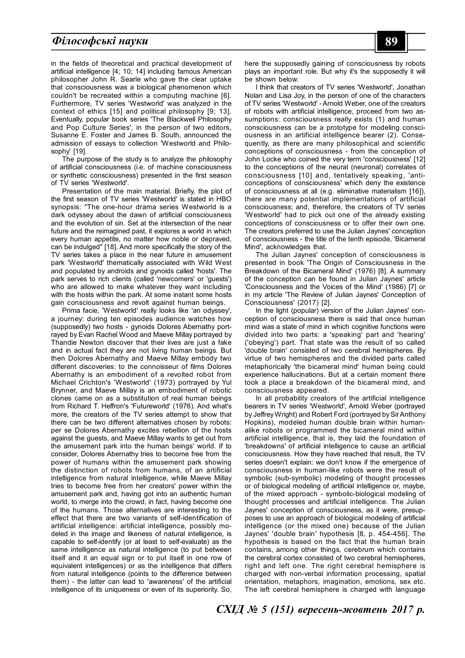# *Філософські науки* **89**

in the fields of theoretical and practical development of artificial intelligence [4; 10; 14] including famous American philosopher John R. Searle who gave the clear uptake that consciousness was a biological phenomenon which couldn't be recreated within a computing machine [6]. Furthermore, TV series 'Westworld' was analyzed in the context of ethics [15] and political philosophy [9; 13]. Eventually, popular book series 'The Blackwell Philosophy and Pop Culture Series', in the person of two editors, Susanne E. Foster and James B. South, announced the admission of essays to collection 'Westworld and Philosophy' [19].

The purpose of the study is to analyze the philosophy of artificial consciousness (i.e. of machine consciousness or synthetic consciousness) presented in the first season of TV series 'Westworld'.

Presentation of the main material. Briefly, the plot of the first season of TV series 'Westworld' is stated in HBO synopsis: "The one-hour drama series Westworld is a dark odyssey about the dawn of artificial consciousness and the evolution of sin. Set at the intersection of the near future and the reimagined past, it explores a world in which every human appetite, no matter how noble or depraved, can be indulged" [18]. And more specifically the story of the TV series takes a place in the near future in amusement park 'Westworld' thematically associated with Wild West and populated by androids and gynoids called 'hosts'. The park serves to rich clients (called 'newcomers' or 'guests') who are allowed to make whatever they want including with the hosts within the park. At some instant some hosts gain consciousness and revolt against human beings.

Prima facie, 'Westworld' really looks like 'an odyssey', a journey: during ten episodes audience watches how (supposedly) two hosts - gynoids Dolores Abernathy portrayed by Evan Rachel Wood and Maeve Millay portrayed by Thandie Newton discover that their lives are just a fake and in actual fact they are not living human beings. But then Dolores Abernathy and Maeve Millay embody two different discoveries: to the connoisseur of films Dolores Abernathy is an embodiment of a revolted robot from Michael Crichton's 'Westworld' (1973) portrayed by Yul Brynner, and Maeve Millay is an embodiment of robotic clones came on as a substitution of real human beings from Richard T. Heffron's 'Futureworld' (1976). And what's more, the creators of the TV series attempt to show that there can be two different alternatives chosen by robots: per se Dolores Abernathy excites rebellion of the hosts against the guests, and Maeve Millay wants to get out from the amusement park into the human beings' world. If to consider, Dolores Abernathy tries to become free from the power of humans within the amusement park showing the distinction of robots from humans, of an artificial intelligence from natural intelligence, while Maeve Millay tries to become free from her creators' power within the amusement park and, having got into an authentic human world, to merge into the crowd, in fact, having become one of the humans. Those alternatives are interesting to the effect that there are two variants of self-identification of artificial intelligence: artificial intelligence, possibly modeled in the image and likeness of natural intelligence, is capable to self-identify (or at least to self-evaluate) as the same intelligence as natural intelligence (to put between itself and it an equal sign or to put itself in one row of equivalent intelligences) or as the intelligence that differs from natural intelligence (points to the difference between them) - the latter can lead to 'awareness' of the artificial intelligence of its uniqueness or even of its superiority. So, here the supposedly gaining of consciousness by robots plays an important role. But why it's the supposedly it will be shown below.

I think that creators of TV series 'Westworld', Jonathan Nolan and Lisa Joy, in the person of one of the characters of TV series 'Westworld' - Arnold Weber, one of the creators of robots with artificial intelligence, proceed from two assumptions: consciousness really exists (1) and human consciousness can be a prototype for modeling consciousness in an artificial intelligence bearer (2). Consequently, as there are many philosophical and scientific conceptions of consciousness - from the conception of John Locke who coined the very term 'consciousness' [12] to the conceptions of the neural (neuronal) correlates of consciousness [10] and, tentatively speaking, 'anticonceptions of consciousness' which deny the existence of consciousness at all (e.g. eliminative materialism [16]), there are many potential implementations of artificial consciousness; and, therefore, the creators of TV series 'Westworld' had to pick out one of the already existing conceptions of consciousness or to offer their own one. The creators preferred to use the Julian Jaynes' conception of consciousness - the title of the tenth episode, 'Bicameral Mind', acknowledges that.

The Julian Jaynes' conception of consciousness is presented in book 'The Origin of Consciousness in the Breakdown of the Bicameral Mind' (1976) [8]. A summary of the conception can be found in Julian Jaynes' article 'Consciousness and the Voices of the Mind' (1986) [7] or in my article 'The Review of Julian Jaynes' Conception of Consciousness' (2017) [2].

In the light (popular) version of the Julian Jaynes' conception of consciousness there is said that once human mind was a state of mind in which cognitive functions were divided into two parts: a 'speaking' part and 'hearing' ('obeying') part. That state was the result of so called 'double brain' consisted of two cerebral hemispheres. By virtue of two hemispheres and the divided parts called metaphorically 'the bicameral mind' human being could experience hallucinations. But at a certain moment there took a place a breakdown of the bicameral mind, and consciousness appeared.

In all probability creators of the artificial intelligence bearers in TV series 'Westworld', Arnold Weber (portrayed by Jeffrey Wright) and Robert Ford (portrayed by Sir Anthony Hopkins), modeled human double brain within humanalike robots or programmed the bicameral mind within artificial intelligence, that is, they laid the foundation of 'breakdowns' of artificial intelligence to cause an artificial consciousness. How they have reached that result, the TV series doesn't explain: we don't know if the emergence of consciousness in human-like robots were the result of symbolic (sub-symbolic) modeling of thought processes or of biological modeling of artificial intelligence or, maybe, of the mixed approach - symbolic-biological modeling of thought processes and artificial intelligence. The Julian Jaynes' conception of consciousness, as it were, presupposes to use an approach of biological modeling of artificial intelligence (or the mixed one) because of the Julian Jaynes' 'double brain' hypothesis [8, p. 454-456]. The hypothesis is based on the fact that the human brain contains, among other things, cerebrum which contains the cerebral cortex consisted of two cerebral hemispheres, right and left one. The right cerebral hemisphere is charged with non-verbal information processing, spatial orientation, metaphors, imagination, emotions, sex etc. The left cerebral hemisphere is charged with language

*СХІД № 5 (151) вересень-жовтень 2017 р.*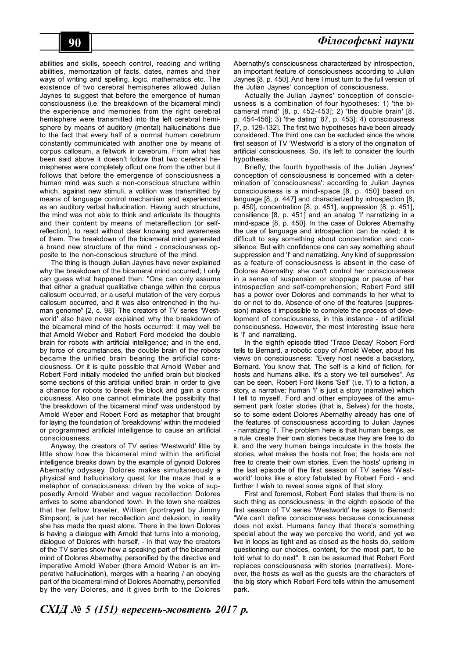abilities and skills, speech control, reading and writing abilities, memorization of facts, dates, names and their ways of writing and spelling, logic, mathematics etc. The existence of two cerebral hemispheres allowed Julian Jaynes to suggest that before the emergence of human consciousness (i.e. the breakdown of the bicameral mind) the experience and memories from the right cerebral hemisphere were transmitted into the left cerebral hemisphere by means of auditory (mental) hallucinations due to the fact that every half of a normal human cerebrum constantly communicated with another one by means of corpus callosum, a feltwork in cerebrum. From what has been said above it doesn't follow that two cerebral hemispheres were completely offcut one from the other but it follows that before the emergence of consciousness a human mind was such a non-conscious structure within which, against new stimuli, a volition was transmitted by means of language control mechanism and experienced as an auditory verbal hallucination. Having such structure, the mind was not able to think and articulate its thoughts and their content by means of metareflection (or selfreflection), to react without clear knowing and awareness of them. The breakdown of the bicameral mind generated a brand new structure of the mind - consciousness opposite to the non-conscious structure of the mind.

The thing is though Julian Jaynes have never explained why the breakdown of the bicameral mind occurred; I only can guess what happened then: "One can only assume that either a gradual qualitative change within the corpus callosum occurred, or a useful mutation of the very corpus callosum occurred, and it was also entrenched in the human genome" [2, c. 98]. The creators of TV series 'Westworld' also have never explained why the breakdown of the bicameral mind of the hosts occurred: it may well be that Arnold Weber and Robert Ford modeled the double brain for robots with artificial intelligence; and in the end, by force of circumstances, the double brain of the robots became the unified brain bearing the artificial consciousness. Or it is quite possible that Arnold Weber and Robert Ford initially modeled the unified brain but blocked some sections of this artificial unified brain in order to give a chance for robots to break the block and gain a consciousness. Also one cannot eliminate the possibility that 'the breakdown of the bicameral mind' was understood by Arnold Weber and Robert Ford as metaphor that brought for laying the foundation of 'breakdowns' within the modeled or programmed artificial intelligence to cause an artificial consciousness.

Anyway, the creators of TV series 'Westworld' little by little show how the bicameral mind within the artificial intelligence breaks down by the example of gynoid Dolores Abernathy odyssey. Dolores makes simultaneously a physical and hallucinatory quest for the maze that is a metaphor of consciousness: driven by the voice of supposedly Arnold Weber and vague recollection Dolores arrives to some abandoned town. In the town she realizes that her fellow traveler, William (portrayed by Jimmy Simpson), is just her recollection and delusion; in reality she has made the quest alone. There in the town Dolores is having a dialogue with Arnold that turns into a monolog, dialogue of Dolores with herself, - in that way the creators of the TV series show how a speaking part of the bicameral mind of Dolores Abernathy, personified by the directive and imperative Arnold Weber (there Arnold Weber is an imperative hallucination), merges with a hearing / an obeying part of the bicameral mind of Dolores Abernathy, personified by the very Dolores, and it gives birth to the Dolores

Abernathy's consciousness characterized by introspection, an important feature of consciousness according to Julian Jaynes [8, p. 450]. And here I must turn to the full version of the Julian Jaynes' conception of consciousness.

Actually the Julian Jaynes' conception of consciousness is a combination of four hypotheses: 1) 'the bicameral mind' [8, p. 452-453]; 2) 'the double brain' [8, p. 454-456]; 3) 'the dating' 87, p. 453]; 4) consciousness [7, p. 129-132]. The first two hypotheses have been already considered. The third one can be excluded since the whole first season of TV 'Westworld' is a story of the origination of artificial consciousness. So, it's left to consider the fourth hypothesis.

Briefly, the fourth hypothesis of the Julian Jaynes' conception of consciousness is concerned with a determination of 'consciousness': according to Julian Jaynes consciousness is a mind-space [8, p. 450] based on language [8, p. 447] and characterized by introspection [8, p. 450], concentration [8, p. 451], suppression [8, p. 451], consilience [8, p. 451] and an analog 'I' narratizing in a mind-space [8, p. 450]. In the case of Dolores Abernathy the use of language and introspection can be noted; it is difficult to say something about concentration and consilience. But with confidence one can say something about suppression and 'I' and narratizing. Any kind of suppression as a feature of consciousness is absent in the case of Dolores Abernathy: she can't control her consciousness in a sense of suspension or stoppage or pause of her introspection and self-comprehension; Robert Ford still has a power over Dolores and commands to her what to do or not to do. Absence of one of the features (suppression) makes it impossible to complete the process of development of consciousness, in this instance - of artificial consciousness. However, the most interesting issue here is 'I' and narratizing.

In the eighth episode titled 'Trace Decay' Robert Ford tells to Bernard, a robotic copy of Arnold Weber, about his views on consciousness: "Every host needs a backstory, Bernard. You know that. The self is a kind of fiction, for hosts and humans alike. It's a story we tell ourselves". As can be seen, Robert Ford likens 'Self' (i.e. 'I') to a fiction, a story, a narrative: human 'I' is just a story (narrative) which I tell to myself. Ford and other employees of the amusement park foster stories (that is, Selves) for the hosts, so to some extent Dolores Abernathy already has one of the features of consciousness according to Julian Jaynes - narratizing 'I'. The problem here is that human beings, as a rule, create their own stories because they are free to do it, and the very human beings inculcate in the hosts the stories, what makes the hosts not free; the hosts are not free to create their own stories. Even the hosts' uprising in the last episode of the first season of TV series 'Westworld' looks like a story fabulated by Robert Ford - and further I wish to reveal some signs of that story.

First and foremost, Robert Ford states that there is no such thing as consciousness: in the eighth episode of the first season of TV series 'Westworld' he says to Bernard: "We can't define consciousness because consciousness does not exist. Humans fancy that there's something special about the way we perceive the world, and yet we live in loops as tight and as closed as the hosts do, seldom questioning our choices, content, for the most part, to be told what to do next". It can be assumed that Robert Ford replaces consciousness with stories (narratives). Moreover, the hosts as well as the guests are the characters of the big story which Robert Ford tells within the amusement park.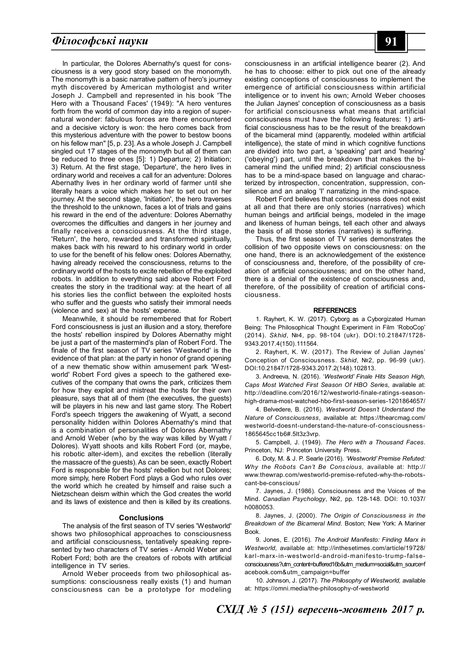# *Філософські науки* **91**

In particular, the Dolores Abernathy's quest for consciousness is a very good story based on the monomyth. The monomyth is a basic narrative pattern of hero's journey myth discovered by American mythologist and writer Joseph J. Campbell and represented in his book 'The Hero with a Thousand Faces' (1949): "A hero ventures forth from the world of common day into a region of supernatural wonder: fabulous forces are there encountered and a decisive victory is won: the hero comes back from this mysterious adventure with the power to bestow boons on his fellow man" [5, p. 23]. As a whole Joseph J. Campbell singled out 17 stages of the monomyth but all of them can be reduced to three ones [5]: 1) Departure; 2) Initiation; 3) Return. At the first stage, 'Departure', the hero lives in ordinary world and receives a call for an adventure: Dolores Abernathy lives in her ordinary world of farmer until she literally hears a voice which makes her to set out on her journey. At the second stage, 'Initiation', the hero traverses the threshold to the unknown, faces a lot of trials and gains his reward in the end of the adventure: Dolores Abernathy overcomes the difficulties and dangers in her journey and finally receives a consciousness. At the third stage, 'Return', the hero, rewarded and transformed spiritually, makes back with his reward to his ordinary world in order to use for the benefit of his fellow ones: Dolores Abernathy, having already received the consciousness, returns to the ordinary world of the hosts to excite rebellion of the exploited robots. In addition to everything said above Robert Ford creates the story in the traditional way: at the heart of all his stories lies the conflict between the exploited hosts who suffer and the guests who satisfy their immoral needs (violence and sex) at the hosts' expense.

Meanwhile, it should be remembered that for Robert Ford consciousness is just an illusion and a story, therefore the hosts' rebellion inspired by Dolores Abernathy might be just a part of the mastermind's plan of Robert Ford. The finale of the first season of TV series 'Westworld' is the evidence of that plan: at the party in honor of grand opening of a new thematic show within amusement park 'Westworld' Robert Ford gives a speech to the gathered executives of the company that owns the park, criticizes them for how they exploit and mistreat the hosts for their own pleasure, says that all of them (the executives, the guests) will be players in his new and last game story. The Robert Ford's speech triggers the awakening of Wyatt, a second personality hidden within Dolores Abernathy's mind that is a combination of personalities of Dolores Abernathy and Arnold Weber (who by the way was killed by Wyatt / Dolores). Wyatt shoots and kills Robert Ford (or, maybe, his robotic alter-idem), and excites the rebellion (literally the massacre of the guests). As can be seen, exactly Robert Ford is responsible for the hosts' rebellion but not Dolores; more simply, here Robert Ford plays a God who rules over the world which he created by himself and raise such a Nietzschean deism within which the God creates the world and its laws of existence and then is killed by its creations.

#### **Conclusions**

The analysis of the first season of TV series 'Westworld' shows two philosophical approaches to consciousness and artificial consciousness, tentatively speaking represented by two characters of TV series - Arnold Weber and Robert Ford; both are the creators of robots with artificial intelligence in TV series.

Arnold Weber proceeds from two philosophical assumptions: consciousness really exists (1) and human consciousness can be a prototype for modeling consciousness in an artificial intelligence bearer (2). And he has to choose: either to pick out one of the already existing conceptions of consciousness to implement the emergence of artificial consciousness within artificial intelligence or to invent his own; Arnold Weber chooses the Julian Jaynes' conception of consciousness as a basis for artificial consciousness what means that artificial consciousness must have the following features: 1) artificial consciousness has to be the result of the breakdown of the bicameral mind (apparently, modeled within artificial intelligence), the state of mind in which cognitive functions are divided into two part, a 'speaking' part and 'hearing' ('obeying') part, until the breakdown that makes the bicameral mind the unified mind; 2) artificial consciousness has to be a mind-space based on language and characterized by introspection, concentration, suppression, consilience and an analog 'I' narratizing in the mind-space.

Robert Ford believes that consciousness does not exist at all and that there are only stories (narratives) which human beings and artificial beings, modeled in the image and likeness of human beings, tell each other and always the basis of all those stories (narratives) is suffering.

Thus, the first season of TV series demonstrates the collision of two opposite views on consciousness: on the one hand, there is an acknowledgement of the existence of consciousness and, therefore, of the possibility of creation of artificial consciousness; and on the other hand, there is a denial of the existence of consciousness and, therefore, of the possibility of creation of artificial consciousness.

#### **REFERENCES**

1. Rayhert, K. W. (2017). Cyborg as a Cyborgizated Human Being: The Philosophical Thought Experiment in Film 'RoboCop' (2014). *Skhid*, №4, pp. 98-104 (ukr). DOI:10.21847/1728- 9343.2017.4(150).111564.

2. Rayhert, K. W. (2017). The Review of Julian Jaynes' Conception of Consciousness. *Skhid*, №2, pp. 96-99 (ukr). DOI:10.21847/1728-9343.2017.2(148).102813.

3. Andreeva, N. (2016). '*Westworld' Finale Hits Season High, Caps Most Watched First Season Of HBO Series*, available at: http://deadline.com/2016/12/westworld-finale-ratings-seasonhigh-drama-most-watched-hbo-first-season-series-1201864657/

4. Belvedere, B. (2016). *Westworld Doesn't Understand the Nature of Consciousness*, available at: https://thearcmag.com/ westworld-doesnt-understand-the-nature-of-consciousness-1865645cc1b6#.5lt3z3vrp.

5. Campbell, J. (1949). *The Hero with a Thousand Faces*. Princeton, NJ: Princeton University Press.

6. Doty, M. & J. P. Searle (2016). *'Westworld' Premise Refuted: Why the Robots Can't Be Conscious,* available at: http:// www.thewrap.com/westworld-premise-refuted-why-the-robotscant-be-conscious/

7. Jaynes, J. (1986). Consciousness and the Voices of the Mind. *Canadian Psychology*, №2, pp. 128-148. DOI: 10.1037/ h0080053.

8. Jaynes, J. (2000). *The Origin of Consciousness in the Breakdown of the Bicameral Mind*. Boston; New York: A Mariner Book.

9. Jones, E. (2016). *The Android Manifesto: Finding Marx in Westworld,* available at: http://inthesetimes.com/article/19728/ karl-marx-in-westworld-android-manifesto-trump-falseconsciousness?utm\_content=buffered16b&utm\_medium=social&utm\_source=f acebook.com&utm\_campaign=buffer

10. Johnson, J. (2017). *The Philosophy of Westworld,* available at: https://omni.media/the-philosophy-of-westworld